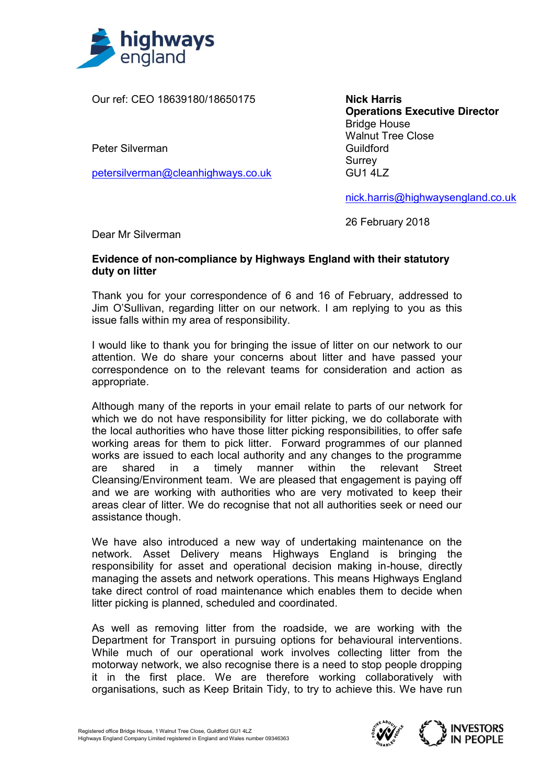

Our ref: CEO 18639180/18650175

Peter Silverman

petersilverman@cleanhighways.co.uk

**Nick Harris Operations Executive Director** Bridge House Walnut Tree Close Guildford Surrey GU1 4LZ

nick.harris@highwaysengland.co.uk

26 February 2018

Dear Mr Silverman

## **Evidence of non-compliance by Highways England with their statutory duty on litter**

Thank you for your correspondence of 6 and 16 of February, addressed to Jim O'Sullivan, regarding litter on our network. I am replying to you as this issue falls within my area of responsibility.

I would like to thank you for bringing the issue of litter on our network to our attention. We do share your concerns about litter and have passed your correspondence on to the relevant teams for consideration and action as appropriate.

Although many of the reports in your email relate to parts of our network for which we do not have responsibility for litter picking, we do collaborate with the local authorities who have those litter picking responsibilities, to offer safe working areas for them to pick litter. Forward programmes of our planned works are issued to each local authority and any changes to the programme are shared in a timely manner within the relevant Street Cleansing/Environment team. We are pleased that engagement is paying off and we are working with authorities who are very motivated to keep their areas clear of litter. We do recognise that not all authorities seek or need our assistance though.

We have also introduced a new way of undertaking maintenance on the network. Asset Delivery means Highways England is bringing the responsibility for asset and operational decision making in-house, directly managing the assets and network operations. This means Highways England take direct control of road maintenance which enables them to decide when litter picking is planned, scheduled and coordinated.

As well as removing litter from the roadside, we are working with the Department for Transport in pursuing options for behavioural interventions. While much of our operational work involves collecting litter from the motorway network, we also recognise there is a need to stop people dropping it in the first place. We are therefore working collaboratively with organisations, such as Keep Britain Tidy, to try to achieve this. We have run